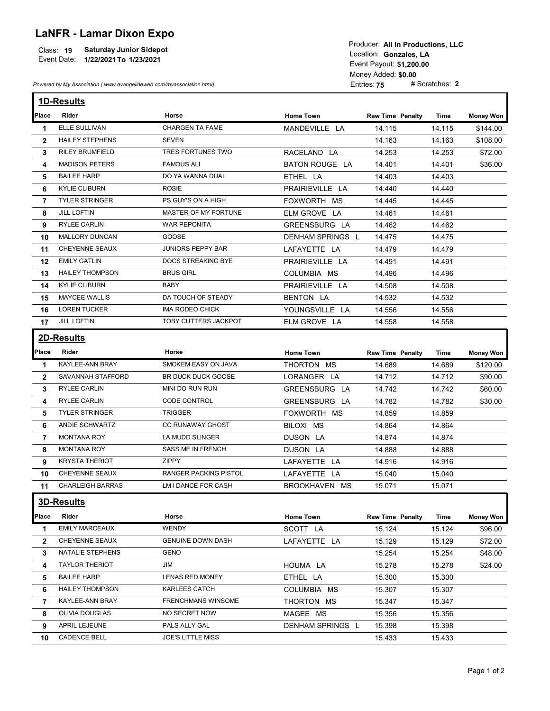## LaNFR - Lamar Dixon Expo

|             |                                | TOGGCCI. AII III FTUGGCCIUTS. LLU |
|-------------|--------------------------------|-----------------------------------|
| Class: 19   | <b>Saturday Junior Sidepot</b> | Location: Gonzales, LA            |
| Event Date: | 1/22/2021 To 1/23/2021         |                                   |
|             |                                | Event Pavout: \$1.200.00          |

| Place        | Powered by My Association (www.evangelineweb.com/myassociation.html) | <b>Saturday Junior Sidepot</b><br>Event Date: 1/22/2021 To 1/23/2021 |                                | Producer: All In Productions, LLC<br>Location: Gonzales, LA<br>Event Payout: \$1,200.00<br>Money Added: \$0.00<br>Entries: 75 | # Scratches: 2   |                  |
|--------------|----------------------------------------------------------------------|----------------------------------------------------------------------|--------------------------------|-------------------------------------------------------------------------------------------------------------------------------|------------------|------------------|
|              |                                                                      |                                                                      |                                |                                                                                                                               |                  |                  |
|              | 1D-Results                                                           |                                                                      |                                |                                                                                                                               |                  |                  |
|              | Rider                                                                | Horse                                                                | <b>Home Town</b>               | <b>Raw Time Penalty</b>                                                                                                       | Time             | <b>Money Won</b> |
| 1.           | ELLE SULLIVAN                                                        | <b>CHARGEN TA FAME</b>                                               | MANDEVILLE LA                  | 14.115                                                                                                                        | 14.115           | \$144.00         |
| $\mathbf{2}$ | <b>HAILEY STEPHENS</b>                                               | SEVEN                                                                |                                | 14.163                                                                                                                        | 14.163           | \$108.00         |
| 3            | <b>RILEY BRUMFIELD</b><br><b>MADISON PETERS</b>                      | TRES FORTUNES TWO<br><b>FAMOUS ALI</b>                               | RACELAND LA                    | 14.253                                                                                                                        | 14.253           | \$72.00          |
| 4            | <b>BAILEE HARP</b>                                                   | DO YA WANNA DUAL                                                     | BATON ROUGE LA<br>ETHEL LA     | 14.401                                                                                                                        | 14.401<br>14.403 | \$36.00          |
| 5            |                                                                      | <b>ROSIE</b>                                                         |                                | 14.403                                                                                                                        |                  |                  |
| 6            | <b>KYLIE CLIBURN</b><br><b>TYLER STRINGER</b>                        | PS GUY'S ON A HIGH                                                   | PRAIRIEVILLE LA<br>FOXWORTH MS | 14.440<br>14.445                                                                                                              | 14.440<br>14.445 |                  |
| 7            | <b>JILL LOFTIN</b>                                                   | MASTER OF MY FORTUNE                                                 | ELM GROVE LA                   |                                                                                                                               |                  |                  |
| 8            | <b>RYLEE CARLIN</b>                                                  | <b>WAR PEPONITA</b>                                                  | GREENSBURG LA                  | 14.461                                                                                                                        | 14.461           |                  |
| 9            | MALLORY DUNCAN                                                       | GOOSE                                                                | DENHAM SPRINGS L               | 14.462<br>14.475                                                                                                              | 14.462<br>14.475 |                  |
| 10           |                                                                      | <b>JUNIORS PEPPY BAR</b>                                             |                                |                                                                                                                               |                  |                  |
| 11           | CHEYENNE SEAUX                                                       |                                                                      | LAFAYETTE LA                   | 14.479                                                                                                                        | 14.479           |                  |
| 12           | <b>EMILY GATLIN</b>                                                  | DOCS STREAKING BYE                                                   | PRAIRIEVILLE LA                | 14.491                                                                                                                        | 14.491           |                  |
| 13           | <b>HAILEY THOMPSON</b>                                               | <b>BRUS GIRL</b>                                                     | COLUMBIA MS                    | 14.496                                                                                                                        | 14.496           |                  |
| 14           | KYLIE CLIBURN                                                        | BABY                                                                 | PRAIRIEVILLE LA                | 14.508                                                                                                                        | 14.508           |                  |
| 15           | <b>MAYCEE WALLIS</b>                                                 | DA TOUCH OF STEADY                                                   | BENTON LA                      | 14.532                                                                                                                        | 14.532           |                  |
| 16           | <b>LOREN TUCKER</b>                                                  | IMA RODEO CHICK                                                      | YOUNGSVILLE LA                 | 14.556                                                                                                                        | 14.556           |                  |
| 17           | <b>JILL LOFTIN</b>                                                   | TOBY CUTTERS JACKPOT                                                 | ELM GROVE LA                   | 14.558                                                                                                                        | 14.558           |                  |
|              | 2D-Results                                                           |                                                                      |                                |                                                                                                                               |                  |                  |
| Place        | Rider                                                                | Horse                                                                | <b>Home Town</b>               | <b>Raw Time Penalty</b>                                                                                                       | Time             | <b>Money Won</b> |
| -1           | KAYLEE-ANN BRAY                                                      | SMOKEM EASY ON JAVA                                                  | THORTON MS                     | 14.689                                                                                                                        | 14.689           | \$120.00         |
| $\mathbf{2}$ | SAVANNAH STAFFORD                                                    | BR DUCK DUCK GOOSE                                                   | LORANGER LA                    | 14.712                                                                                                                        | 14.712           | \$90.00          |
| 3            | RYLEE CARLIN                                                         | MINI DO RUN RUN                                                      | GREENSBURG LA                  | 14.742                                                                                                                        | 14.742           | \$60.00          |
| 4            | <b>RYLEE CARLIN</b>                                                  | CODE CONTROL                                                         | GREENSBURG LA                  | 14.782                                                                                                                        | 14.782           | \$30.00          |
| 5            | TYLER STRINGER                                                       | <b>TRIGGER</b>                                                       | FOXWORTH MS                    | 14.859                                                                                                                        | 14.859           |                  |
| 6            | ANDIE SCHWARTZ                                                       | CC RUNAWAY GHOST                                                     | BILOXI MS                      | 14.864                                                                                                                        | 14.864           |                  |
| 7            | <b>MONTANA ROY</b>                                                   | LA MUDD SLINGER                                                      | DUSON LA                       | 14.874                                                                                                                        | 14.874           |                  |
| 8            | <b>MONTANA ROY</b>                                                   | SASS ME IN FRENCH                                                    | DUSON LA                       | 14.888                                                                                                                        | 14.888           |                  |
| 9            | <b>KRYSTA THERIOT</b>                                                | ZIPPY                                                                | LAFAYETTE LA                   | 14.916                                                                                                                        | 14.916           |                  |
| 10           | CHEYENNE SEAUX                                                       | RANGER PACKING PISTOL                                                | LAFAYETTE LA                   | 15.040                                                                                                                        | 15.040           |                  |
| 11           | <b>CHARLEIGH BARRAS</b>                                              | LM I DANCE FOR CASH                                                  | BROOKHAVEN MS                  | 15.071                                                                                                                        | 15.071           |                  |
|              |                                                                      |                                                                      |                                |                                                                                                                               |                  |                  |
|              | <b>3D-Results</b>                                                    |                                                                      |                                |                                                                                                                               |                  |                  |
| Place        | Rider                                                                | Horse                                                                | <b>Home Town</b>               | <b>Raw Time Penalty</b>                                                                                                       | <b>Time</b>      | <b>Money Won</b> |
| 1            | <b>EMILY MARCEAUX</b>                                                | <b>WENDY</b>                                                         | SCOTT LA                       | 15.124                                                                                                                        | 15.124           | \$96.00          |
| $\mathbf{2}$ | CHEYENNE SEAUX                                                       | <b>GENUINE DOWN DASH</b>                                             | LAFAYETTE LA                   | 15.129                                                                                                                        | 15.129           | \$72.00          |
| 3            | NATALIE STEPHENS                                                     | GENO                                                                 |                                | 15.254                                                                                                                        | 15.254           | \$48.00          |
| 4            | <b>TAYLOR THERIOT</b>                                                | JIM                                                                  | HOUMA LA                       | 15.278                                                                                                                        | 15.278           | \$24.00          |
| 5            | <b>BAILEE HARP</b>                                                   | <b>LENAS RED MONEY</b>                                               | ETHEL LA                       | 15.300                                                                                                                        | 15.300           |                  |
| 6            | <b>HAILEY THOMPSON</b>                                               | KARLEES CATCH                                                        | COLUMBIA MS                    | 15.307                                                                                                                        | 15.307           |                  |
| 7            | KAYLEE-ANN BRAY                                                      | FRENCHMANS WINSOME                                                   | THORTON MS                     | 15.347                                                                                                                        | 15.347           |                  |
| 8            | OLIVIA DOUGLAS                                                       | NO SECRET NOW                                                        | MAGEE MS                       | 15.356                                                                                                                        | 15.356           |                  |
|              | APRIL LEJEUNE                                                        | PALS ALLY GAL                                                        | DENHAM SPRINGS L               | 15.398                                                                                                                        | 15.398           |                  |
| 9            |                                                                      |                                                                      |                                |                                                                                                                               |                  |                  |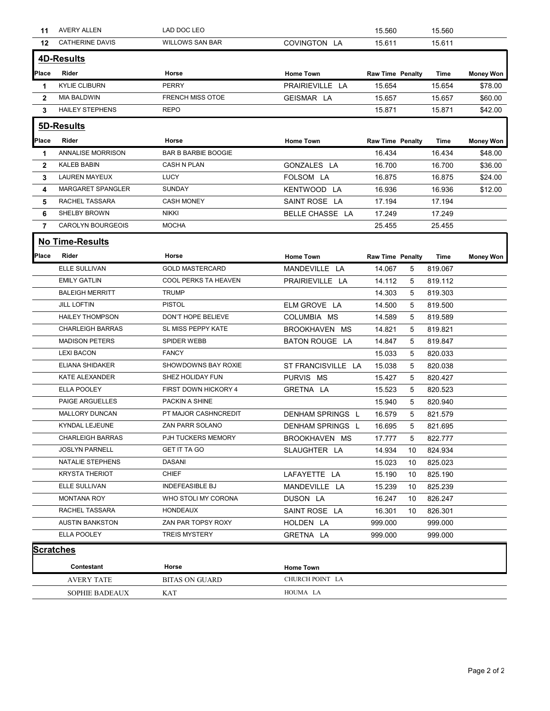|                  | 11 AVERY ALLEN           | LAD DOC LEO                |                         | 15.560                  |    | 15.560  |                  |
|------------------|--------------------------|----------------------------|-------------------------|-------------------------|----|---------|------------------|
| 12               | <b>CATHERINE DAVIS</b>   | <b>WILLOWS SAN BAR</b>     | COVINGTON LA            | 15.611                  |    | 15.611  |                  |
|                  | <b>4D-Results</b>        |                            |                         |                         |    |         |                  |
| Place            | Rider                    | Horse                      | <b>Home Town</b>        | <b>Raw Time Penalty</b> |    | Time    | <b>Money Won</b> |
| -1               | <b>KYLIE CLIBURN</b>     | <b>PERRY</b>               | PRAIRIEVILLE LA         | 15.654                  |    | 15.654  | \$78.00          |
| $\overline{2}$   | <b>MIA BALDWIN</b>       | <b>FRENCH MISS OTOE</b>    | GEISMAR LA              | 15.657                  |    | 15.657  | \$60.00          |
| $\mathbf{3}$     | <b>HAILEY STEPHENS</b>   | <b>REPO</b>                |                         | 15.871                  |    | 15.871  | \$42.00          |
|                  |                          |                            |                         |                         |    |         |                  |
|                  | 5D-Results               |                            |                         |                         |    |         |                  |
| Place            | Rider                    | Horse                      | <b>Home Town</b>        | <b>Raw Time Penalty</b> |    | Time    | Money Won        |
| $\mathbf 1$      | <b>ANNALISE MORRISON</b> | <b>BAR B BARBIE BOOGIE</b> |                         | 16.434                  |    | 16.434  | \$48.00          |
| $\mathbf{2}$     | KALEB BABIN              | CASH N PLAN                | GONZALES LA             | 16.700                  |    | 16.700  | \$36.00          |
| 3                | <b>LAUREN MAYEUX</b>     | <b>LUCY</b>                | FOLSOM LA               | 16.875                  |    | 16.875  | \$24.00          |
| 4                | MARGARET SPANGLER        | SUNDAY                     | KENTWOOD LA             | 16.936                  |    | 16.936  | \$12.00          |
| 5                | RACHEL TASSARA           | CASH MONEY                 | SAINT ROSE LA           | 17.194                  |    | 17.194  |                  |
| 6                | SHELBY BROWN             | <b>NIKKI</b>               | BELLE CHASSE LA         | 17.249                  |    | 17.249  |                  |
| 7                | CAROLYN BOURGEOIS        | <b>MOCHA</b>               |                         | 25.455                  |    | 25.455  |                  |
|                  | No Time-Results          |                            |                         |                         |    |         |                  |
| <b>Place</b>     | Rider                    | Horse                      | <b>Home Town</b>        | Raw Time Penalty        |    | Time    | <b>Money Won</b> |
|                  | ELLE SULLIVAN            | <b>GOLD MASTERCARD</b>     | MANDEVILLE LA           | 14.067                  | 5  | 819.067 |                  |
|                  | <b>EMILY GATLIN</b>      | COOL PERKS TA HEAVEN       | PRAIRIEVILLE LA         | 14.112                  | 5  | 819.112 |                  |
|                  | <b>BALEIGH MERRITT</b>   | <b>TRUMP</b>               |                         | 14.303                  | 5  | 819.303 |                  |
|                  | <b>JILL LOFTIN</b>       | <b>PISTOL</b>              | ELM GROVE LA            | 14.500                  | 5  | 819.500 |                  |
|                  | <b>HAILEY THOMPSON</b>   | DON'T HOPE BELIEVE         | COLUMBIA MS             | 14.589                  | 5  | 819.589 |                  |
|                  | <b>CHARLEIGH BARRAS</b>  | SL MISS PEPPY KATE         | BROOKHAVEN MS           | 14.821                  | 5  | 819.821 |                  |
|                  | <b>MADISON PETERS</b>    | SPIDER WEBB                | BATON ROUGE LA          | 14.847                  | 5  | 819.847 |                  |
|                  | <b>LEXI BACON</b>        | <b>FANCY</b>               |                         | 15.033                  | 5  | 820.033 |                  |
|                  | ELIANA SHIDAKER          | SHOWDOWNS BAY ROXIE        | ST FRANCISVILLE LA      | 15.038                  | 5  | 820.038 |                  |
|                  | KATE ALEXANDER           | SHEZ HOLIDAY FUN           | PURVIS MS               | 15.427                  | 5  | 820.427 |                  |
|                  | ELLA POOLEY              | FIRST DOWN HICKORY 4       | GRETNA LA               |                         |    | 820.523 |                  |
|                  | PAIGE ARGUELLES          | PACKIN A SHINE             |                         | 15.523                  | 5  |         |                  |
|                  |                          |                            |                         | 15.940                  | 5  | 820.940 |                  |
|                  | MALLORY DUNCAN           | PT MAJOR CASHNCREDIT       | <b>DENHAM SPRINGS L</b> | 16.579                  | 5  | 821.579 |                  |
|                  | KYNDAL LEJEUNE           | ZAN PARR SOLANO            | DENHAM SPRINGS L        | 16.695                  | 5  | 821.695 |                  |
|                  | <b>CHARLEIGH BARRAS</b>  | PJH TUCKERS MEMORY         | BROOKHAVEN MS           | 17.777                  | 5  | 822.777 |                  |
|                  | <b>JOSLYN PARNELL</b>    | <b>GET IT TA GO</b>        | SLAUGHTER LA            | 14.934                  | 10 | 824.934 |                  |
|                  | NATALIE STEPHENS         | DASANI                     |                         | 15.023                  | 10 | 825.023 |                  |
|                  | <b>KRYSTA THERIOT</b>    | <b>CHIEF</b>               | LAFAYETTE LA            | 15.190                  | 10 | 825.190 |                  |
|                  | ELLE SULLIVAN            | <b>INDEFEASIBLE BJ</b>     | MANDEVILLE LA           | 15.239                  | 10 | 825.239 |                  |
|                  | <b>MONTANA ROY</b>       | WHO STOLI MY CORONA        | DUSON LA                | 16.247                  | 10 | 826.247 |                  |
|                  | RACHEL TASSARA           | HONDEAUX                   | SAINT ROSE LA           | 16.301                  | 10 | 826.301 |                  |
|                  | <b>AUSTIN BANKSTON</b>   | ZAN PAR TOPSY ROXY         | HOLDEN LA               | 999.000                 |    | 999.000 |                  |
|                  | ELLA POOLEY              | <b>TREIS MYSTERY</b>       | GRETNA LA               | 999.000                 |    | 999.000 |                  |
| <b>Scratches</b> |                          |                            |                         |                         |    |         |                  |
|                  | Contestant               | Horse                      | <b>Home Town</b>        |                         |    |         |                  |
|                  | <b>AVERY TATE</b>        | <b>BITAS ON GUARD</b>      | CHURCH POINT LA         |                         |    |         |                  |
|                  |                          |                            |                         |                         |    |         |                  |
|                  | SOPHIE BADEAUX           | KAT                        | HOUMA LA                |                         |    |         |                  |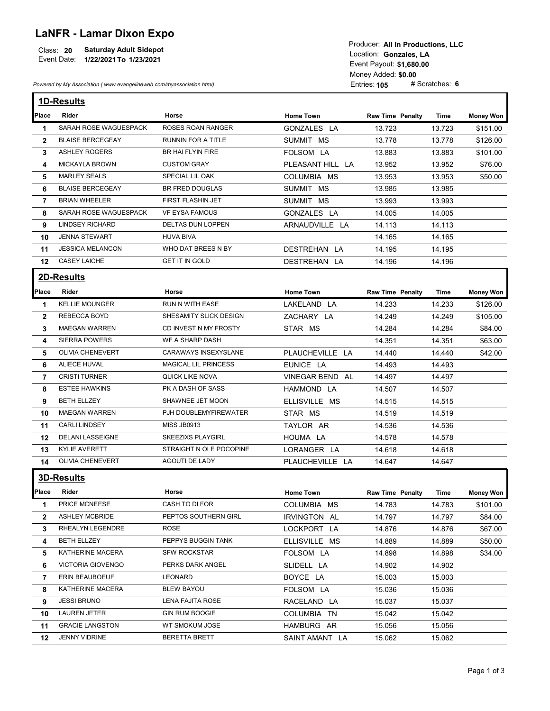## LaNFR - Lamar Dixon Expo

|             |                               | TUUUUUI. AILIILETUUUUUIUIS. LLU |
|-------------|-------------------------------|---------------------------------|
| Class: 20   | <b>Saturday Adult Sidepot</b> | Location: Gonzales, LA          |
| Event Date: | 1/22/2021 To 1/23/2021        |                                 |
|             |                               | Event Pavout: \$4,690.00        |

|                      | <b>LaNFR - Lamar Dixon Expo</b><br><b>Saturday Adult Sidepot</b><br>Class: 20<br>Event Date: 1/22/2021 To 1/23/2021<br>Powered by My Association (www.evangelineweb.com/myassociation.html) |                                        |                                 | Producer: All In Productions, LLC<br>Location: Gonzales, LA<br>Event Payout: \$1,680.00<br>Money Added: \$0.00<br>Entries: 105 | # Scratches: 6   |                      |
|----------------------|---------------------------------------------------------------------------------------------------------------------------------------------------------------------------------------------|----------------------------------------|---------------------------------|--------------------------------------------------------------------------------------------------------------------------------|------------------|----------------------|
|                      | <b>1D-Results</b>                                                                                                                                                                           |                                        |                                 |                                                                                                                                |                  |                      |
|                      | Rider                                                                                                                                                                                       |                                        |                                 |                                                                                                                                |                  |                      |
| Place                | SARAH ROSE WAGUESPACK                                                                                                                                                                       | Horse<br>ROSES ROAN RANGER             | <b>Home Town</b><br>GONZALES LA | <b>Raw Time Penalty</b>                                                                                                        | Time             | <b>Money Won</b>     |
| -1<br>$\overline{2}$ | <b>BLAISE BERCEGEAY</b>                                                                                                                                                                     | RUNNIN FOR A TITLE                     | SUMMIT MS                       | 13.723<br>13.778                                                                                                               | 13.723<br>13.778 | \$151.00<br>\$126.00 |
| 3                    | <b>ASHLEY ROGERS</b>                                                                                                                                                                        | BR HAI FLYIN FIRE                      | FOLSOM LA                       | 13.883                                                                                                                         | 13.883           | \$101.00             |
| 4                    | <b>MICKAYLA BROWN</b>                                                                                                                                                                       | <b>CUSTOM GRAY</b>                     | PLEASANT HILL LA                | 13.952                                                                                                                         | 13.952           | \$76.00              |
| 5                    | <b>MARLEY SEALS</b>                                                                                                                                                                         | SPECIAL LIL OAK                        | COLUMBIA MS                     | 13.953                                                                                                                         | 13.953           | \$50.00              |
| 6                    | <b>BLAISE BERCEGEAY</b>                                                                                                                                                                     | BR FRED DOUGLAS                        | SUMMIT MS                       | 13.985                                                                                                                         | 13.985           |                      |
| 7                    | <b>BRIAN WHEELER</b>                                                                                                                                                                        | FIRST FLASHIN JET                      | SUMMIT MS                       | 13.993                                                                                                                         | 13.993           |                      |
| 8                    | SARAH ROSE WAGUESPACK                                                                                                                                                                       | <b>VF EYSA FAMOUS</b>                  | GONZALES LA                     | 14.005                                                                                                                         | 14.005           |                      |
| 9                    | <b>LINDSEY RICHARD</b>                                                                                                                                                                      | DELTAS DUN LOPPEN                      | ARNAUDVILLE LA                  | 14.113                                                                                                                         | 14.113           |                      |
| 10                   | <b>JENNA STEWART</b>                                                                                                                                                                        | <b>HUVA BIVA</b>                       |                                 | 14.165                                                                                                                         | 14.165           |                      |
| 11                   | <b>JESSICA MELANCON</b>                                                                                                                                                                     | WHO DAT BREES N BY                     | DESTREHAN LA                    | 14.195                                                                                                                         | 14.195           |                      |
| 12                   | <b>CASEY LAICHE</b>                                                                                                                                                                         | <b>GET IT IN GOLD</b>                  | DESTREHAN LA                    | 14.196                                                                                                                         | 14.196           |                      |
|                      | 2D-Results                                                                                                                                                                                  |                                        |                                 |                                                                                                                                |                  |                      |
| Place                | Rider                                                                                                                                                                                       | Horse                                  | <b>Home Town</b>                | <b>Raw Time Penalty</b>                                                                                                        | Time             | <b>Money Won</b>     |
| $\mathbf 1$          | <b>KELLIE MOUNGER</b>                                                                                                                                                                       | RUN N WITH EASE                        | LAKELAND LA                     | 14.233                                                                                                                         | 14.233           | \$126.00             |
| $\mathbf{2}$         | REBECCA BOYD                                                                                                                                                                                | SHESAMITY SLICK DESIGN                 | ZACHARY LA                      | 14.249                                                                                                                         | 14.249           | \$105.00             |
| 3                    | <b>MAEGAN WARREN</b>                                                                                                                                                                        | CD INVEST N MY FROSTY                  | STAR MS                         | 14.284                                                                                                                         | 14.284           | \$84.00              |
| 4                    | <b>SIERRA POWERS</b>                                                                                                                                                                        | WF A SHARP DASH                        |                                 | 14.351                                                                                                                         | 14.351           | \$63.00              |
| 5                    | <b>OLIVIA CHENEVERT</b>                                                                                                                                                                     | CARAWAYS INSEXYSLANE                   | PLAUCHEVILLE LA                 | 14.440                                                                                                                         | 14.440           | \$42.00              |
| 6                    | ALIECE HUVAL                                                                                                                                                                                | <b>MAGICAL LIL PRINCESS</b>            | EUNICE LA                       | 14.493                                                                                                                         | 14.493           |                      |
| 7                    | <b>CRISTI TURNER</b>                                                                                                                                                                        | QUICK LIKE NOVA                        | VINEGAR BEND AL                 | 14.497                                                                                                                         | 14.497           |                      |
| 8                    | <b>ESTEE HAWKINS</b>                                                                                                                                                                        | PK A DASH OF SASS                      | HAMMOND LA                      | 14.507                                                                                                                         | 14.507           |                      |
| 9                    | <b>BETH ELLZEY</b>                                                                                                                                                                          | SHAWNEE JET MOON                       | ELLISVILLE MS                   | 14.515                                                                                                                         | 14.515           |                      |
| 10                   | <b>MAEGAN WARREN</b>                                                                                                                                                                        | PJH DOUBLEMYFIREWATER                  | STAR MS                         | 14.519                                                                                                                         | 14.519           |                      |
| 11                   | <b>CARLI LINDSEY</b>                                                                                                                                                                        | MISS JB0913                            | TAYLOR AR                       | 14.536                                                                                                                         | 14.536           |                      |
| 12                   | <b>DELANI LASSEIGNE</b>                                                                                                                                                                     | <b>SKEEZIXS PLAYGIRL</b>               | HOUMA LA                        | 14.578                                                                                                                         | 14.578           |                      |
| 13                   | <b>KYLIE AVERETT</b>                                                                                                                                                                        | STRAIGHT N OLE POCOPINE                | LORANGER LA                     | 14.618                                                                                                                         | 14.618           |                      |
| 14                   | <b>OLIVIA CHENEVERT</b>                                                                                                                                                                     | AGOUTI DE LADY                         | PLAUCHEVILLE LA                 | 14.647                                                                                                                         | 14.647           |                      |
|                      |                                                                                                                                                                                             |                                        |                                 |                                                                                                                                |                  |                      |
|                      | <b>3D-Results</b>                                                                                                                                                                           |                                        |                                 |                                                                                                                                |                  |                      |
| Place                | Rider                                                                                                                                                                                       | Horse                                  | <b>Home Town</b>                | <b>Raw Time Penalty</b>                                                                                                        | Time             | <b>Money Won</b>     |
| -1                   | PRICE MCNEESE                                                                                                                                                                               | CASH TO DI FOR                         | COLUMBIA MS                     | 14.783                                                                                                                         | 14.783           | \$101.00             |
| $\mathbf{2}$         | <b>ASHLEY MCBRIDE</b>                                                                                                                                                                       | PEPTOS SOUTHERN GIRL                   | IRVINGTON AL                    | 14.797                                                                                                                         | 14.797           | \$84.00              |
|                      | RHEALYN LEGENDRE                                                                                                                                                                            | <b>ROSE</b>                            | LOCKPORT LA                     | 14.876                                                                                                                         | 14.876           | \$67.00              |
| 3                    | <b>BETH ELLZEY</b>                                                                                                                                                                          | PEPPYS BUGGIN TANK                     | ELLISVILLE MS                   | 14.889                                                                                                                         | 14.889           | \$50.00              |
| 4                    |                                                                                                                                                                                             |                                        | FOLSOM LA                       | 14.898                                                                                                                         | 14.898           | \$34.00              |
| 5.                   | KATHERINE MACERA                                                                                                                                                                            | <b>SFW ROCKSTAR</b>                    |                                 |                                                                                                                                |                  |                      |
| 6                    | <b>VICTORIA GIOVENGO</b>                                                                                                                                                                    | PERKS DARK ANGEL                       | SLIDELL LA                      | 14.902                                                                                                                         | 14.902           |                      |
| 7                    | ERIN BEAUBOEUF                                                                                                                                                                              | LEONARD                                | BOYCE LA                        | 15.003                                                                                                                         | 15.003           |                      |
| 8                    | KATHERINE MACERA                                                                                                                                                                            | <b>BLEW BAYOU</b>                      | FOLSOM LA                       | 15.036                                                                                                                         | 15.036           |                      |
| 9                    | <b>JESSI BRUNO</b>                                                                                                                                                                          | LENA FAJITA ROSE                       | RACELAND LA                     | 15.037                                                                                                                         | 15.037           |                      |
| 10                   | LAUREN JETER                                                                                                                                                                                | <b>GIN RUM BOOGIE</b>                  | COLUMBIA TN                     | 15.042                                                                                                                         | 15.042           |                      |
| 11                   | <b>GRACIE LANGSTON</b><br>JENNY VIDRINE                                                                                                                                                     | WT SMOKUM JOSE<br><b>BERETTA BRETT</b> | HAMBURG AR<br>SAINT AMANT LA    | 15.056<br>15.062                                                                                                               | 15.056<br>15.062 |                      |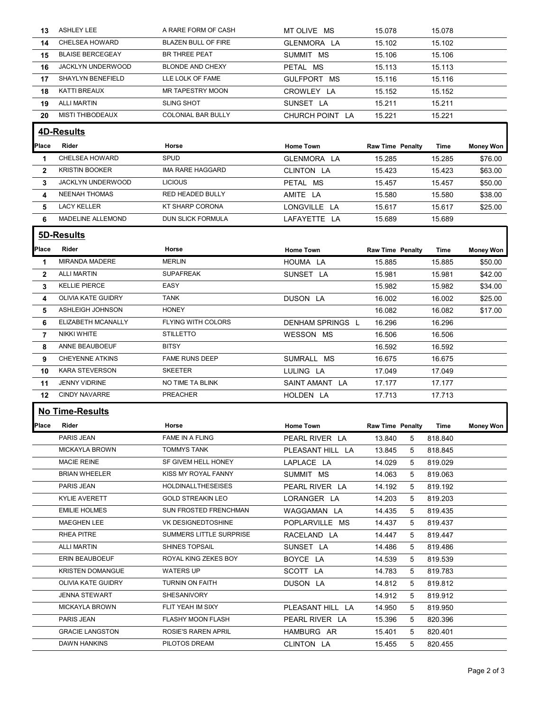| 13.            | <b>ASHLEY LEE</b>       | A RARE FORM OF CASH        | MT OLIVE MS      | 15.078                  | 15.078       |                  |
|----------------|-------------------------|----------------------------|------------------|-------------------------|--------------|------------------|
| 14             | CHELSEA HOWARD          | <b>BLAZEN BULL OF FIRE</b> | GLENMORA LA      | 15.102                  | 15.102       |                  |
| 15             | <b>BLAISE BERCEGEAY</b> | BR THREE PEAT              | SUMMIT MS        | 15.106                  | 15.106       |                  |
| 16             | JACKLYN UNDERWOOD       | <b>BLONDE AND CHEXY</b>    | PETAL MS         | 15.113                  | 15.113       |                  |
| 17             | SHAYLYN BENEFIELD       | LLE LOLK OF FAME           | GULFPORT MS      | 15.116                  | 15.116       |                  |
| 18             | KATTI BREAUX            | MR TAPESTRY MOON           | CROWLEY LA       | 15.152                  | 15.152       |                  |
| 19             | <b>ALLI MARTIN</b>      | <b>SLING SHOT</b>          | SUNSET LA        | 15.211                  | 15.211       |                  |
| 20             | <b>MISTI THIBODEAUX</b> | COLONIAL BAR BULLY         | CHURCH POINT LA  | 15.221                  | 15.221       |                  |
|                | 4D-Results              |                            |                  |                         |              |                  |
|                |                         |                            |                  |                         |              |                  |
| Place          | Rider                   | Horse                      | <b>Home Town</b> | <b>Raw Time Penalty</b> | Time         | <b>Money Won</b> |
| $\mathbf 1$    | CHELSEA HOWARD          | SPUD                       | GLENMORA LA      | 15.285                  | 15.285       | \$76.00          |
| $\mathbf{2}$   | <b>KRISTIN BOOKER</b>   | IMA RARE HAGGARD           | CLINTON LA       | 15.423                  | 15.423       | \$63.00          |
| 3              | JACKLYN UNDERWOOD       | <b>LICIOUS</b>             | PETAL MS         | 15.457                  | 15.457       | \$50.00          |
| 4              | <b>NEENAH THOMAS</b>    | RED HEADED BULLY           | AMITE LA         | 15.580                  | 15.580       | \$38.00          |
| 5              | <b>LACY KELLER</b>      | KT SHARP CORONA            | LONGVILLE LA     | 15.617                  | 15.617       | \$25.00          |
| 6              | MADELINE ALLEMOND       | DUN SLICK FORMULA          | LAFAYETTE LA     | 15.689                  | 15.689       |                  |
|                | 5D-Results              |                            |                  |                         |              |                  |
| Place          | Rider                   | Horse                      | <b>Home Town</b> | <b>Raw Time Penalty</b> | Time         | <b>Money Won</b> |
| -1             | MIRANDA MADERE          | <b>MERLIN</b>              | HOUMA LA         | 15.885                  | 15.885       | \$50.00          |
| $\overline{2}$ | <b>ALLI MARTIN</b>      | <b>SUPAFREAK</b>           | SUNSET LA        | 15.981                  | 15.981       | \$42.00          |
| 3              | <b>KELLIE PIERCE</b>    | EASY                       |                  | 15.982                  | 15.982       | \$34.00          |
| 4              | OLIVIA KATE GUIDRY      | <b>TANK</b>                | DUSON LA         | 16.002                  | 16.002       | \$25.00          |
| 5              | ASHLEIGH JOHNSON        | <b>HONEY</b>               |                  | 16.082                  | 16.082       | \$17.00          |
| 6              | ELIZABETH MCANALLY      | FLYING WITH COLORS         | DENHAM SPRINGS L | 16.296                  | 16.296       |                  |
| 7              | NIKKI WHITE             | <b>STILLETTO</b>           | WESSON MS        | 16.506                  | 16.506       |                  |
| 8              | ANNE BEAUBOEUF          | <b>BITSY</b>               |                  | 16.592                  | 16.592       |                  |
|                | <b>CHEYENNE ATKINS</b>  | <b>FAME RUNS DEEP</b>      | SUMRALL MS       |                         |              |                  |
| 9              | <b>KARA STEVERSON</b>   | <b>SKEETER</b>             |                  | 16.675                  | 16.675       |                  |
| 10             | <b>JENNY VIDRINE</b>    | NO TIME TA BLINK           | LULING LA        | 17.049                  | 17.049       |                  |
| 11             |                         |                            | SAINT AMANT LA   | 17.177                  | 17.177       |                  |
| 12             | <b>CINDY NAVARRE</b>    | PREACHER                   | HOLDEN LA        | 17.713                  | 17.713       |                  |
|                | <b>No Time-Results</b>  |                            |                  |                         |              |                  |
| Place          | Rider                   | Horse                      | <b>Home Town</b> | Raw Time Penalty        | Time         | <b>Money Won</b> |
|                | PARIS JEAN              | FAME IN A FLING            | PEARL RIVER LA   | 13.840                  | 5<br>818.840 |                  |
|                | <b>MICKAYLA BROWN</b>   | <b>TOMMYS TANK</b>         | PLEASANT HILL LA | 5<br>13.845             | 818.845      |                  |
|                | <b>MACIE REINE</b>      | SF GIVEM HELL HONEY        | LAPLACE LA       | 14.029<br>5             | 819.029      |                  |
|                | <b>BRIAN WHEELER</b>    | KISS MY ROYAL FANNY        | SUMMIT MS        | 14.063<br>5             | 819.063      |                  |
|                | PARIS JEAN              | <b>HOLDINALLTHESEISES</b>  | PEARL RIVER LA   | 14.192<br>5             | 819.192      |                  |
|                | <b>KYLIE AVERETT</b>    | <b>GOLD STREAKIN LEO</b>   | LORANGER LA      | 14.203<br>5             | 819.203      |                  |
|                | <b>EMILIE HOLMES</b>    | SUN FROSTED FRENCHMAN      | WAGGAMAN LA      | 14.435<br>5             | 819.435      |                  |
|                | MAEGHEN LEE             | VK DESIGNEDTOSHINE         | POPLARVILLE MS   | 14.437<br>5             | 819.437      |                  |
|                | RHEA PITRE              | SUMMERS LITTLE SURPRISE    |                  |                         |              |                  |
|                |                         |                            | RACELAND LA      | 14.447                  | 819.447<br>5 |                  |
|                | <b>ALLI MARTIN</b>      | SHINES TOPSAIL             | SUNSET LA        | 14.486<br>5             | 819.486      |                  |
|                | ERIN BEAUBOEUF          | ROYAL KING ZEKES BOY       | BOYCE LA         | 14.539<br>5             | 819.539      |                  |
|                | <b>KRISTEN DOMANGUE</b> | <b>WATERS UP</b>           | SCOTT LA         | 14.783<br>5             | 819.783      |                  |
|                | OLIVIA KATE GUIDRY      | TURNIN ON FAITH            | DUSON LA         | 14.812<br>5             | 819.812      |                  |
|                |                         | SHESANIVORY                |                  | 14.912<br>5             | 819.912      |                  |
|                | <b>JENNA STEWART</b>    |                            |                  |                         | 819.950      |                  |
|                | <b>MICKAYLA BROWN</b>   | FLIT YEAH IM SIXY          | PLEASANT HILL LA | 14.950<br>5             |              |                  |
|                | PARIS JEAN              | FLASHY MOON FLASH          | PEARL RIVER LA   | 15.396<br>5             | 820.396      |                  |
|                | <b>GRACIE LANGSTON</b>  | ROSIE'S RAREN APRIL        | HAMBURG AR       | 15.401<br>5             | 820.401      |                  |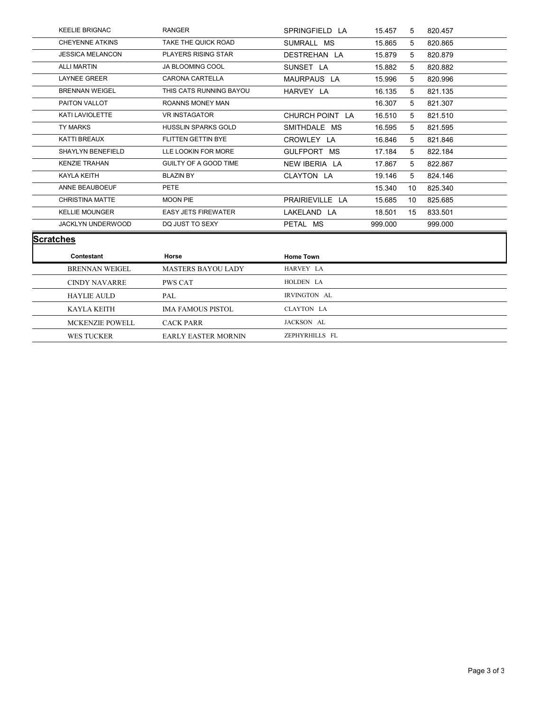| <b>KEELIE BRIGNAC</b>   | <b>RANGER</b>              | SPRINGFIELD LA   | 15.457  | 5           | 820.457 |  |
|-------------------------|----------------------------|------------------|---------|-------------|---------|--|
| <b>CHEYENNE ATKINS</b>  | TAKE THE QUICK ROAD        | SUMRALL MS       | 15.865  | 5           | 820.865 |  |
| <b>JESSICA MELANCON</b> | PLAYERS RISING STAR        | DESTREHAN LA     | 15.879  | 5           | 820.879 |  |
| <b>ALLI MARTIN</b>      | JA BLOOMING COOL           | SUNSET LA        | 15.882  | 5           | 820.882 |  |
| <b>LAYNEE GREER</b>     | CARONA CARTELLA            | MAURPAUS LA      | 15.996  | 5           | 820.996 |  |
| <b>BRENNAN WEIGEL</b>   | THIS CATS RUNNING BAYOU    | HARVEY LA        | 16.135  | 5           | 821.135 |  |
| PAITON VALLOT           | ROANNS MONEY MAN           |                  | 16.307  | 5           | 821.307 |  |
| KATI LAVIOLETTE         | <b>VR INSTAGATOR</b>       | CHURCH POINT LA  | 16.510  | 5           | 821.510 |  |
| TY MARKS                | HUSSLIN SPARKS GOLD        | SMITHDALE MS     | 16.595  | 5           | 821.595 |  |
| KATTI BREAUX            | FLITTEN GETTIN BYE         | CROWLEY LA       | 16.846  | 5           | 821.846 |  |
| SHAYLYN BENEFIELD       | LLE LOOKIN FOR MORE        | GULFPORT MS      | 17.184  | 5           | 822.184 |  |
| <b>KENZIE TRAHAN</b>    | GUILTY OF A GOOD TIME      | NEW IBERIA LA    | 17.867  | $5^{\circ}$ | 822.867 |  |
| KAYLA KEITH             | <b>BLAZIN BY</b>           | CLAYTON LA       | 19.146  | 5           | 824.146 |  |
| ANNE BEAUBOEUF          | PETE                       |                  | 15.340  | 10          | 825.340 |  |
| CHRISTINA MATTE         | MOON PIE                   | PRAIRIEVILLE LA  | 15.685  | 10          | 825.685 |  |
| <b>KELLIE MOUNGER</b>   | <b>EASY JETS FIREWATER</b> | LAKELAND LA      | 18.501  | 15          | 833.501 |  |
| JACKLYN UNDERWOOD       | DQ JUST TO SEXY            | PETAL MS         | 999.000 |             | 999.000 |  |
| <b>Scratches</b>        |                            |                  |         |             |         |  |
| Contestant              | Horse                      | <b>Home Town</b> |         |             |         |  |
| BRENNAN WEIGEL          | MASTERS BAYOU LADY         | HARVEY LA        |         |             |         |  |
| CINDY NAVARRE           | PWS CAT                    | HOLDEN LA        |         |             |         |  |
| <b>HAYLIE AULD</b>      | PAL                        | IRVINGTON AL     |         |             |         |  |
| KAYLA KEITH             | <b>IMA FAMOUS PISTOL</b>   | CLAYTON LA       |         |             |         |  |
| MCKENZIE POWELL         | <b>CACK PARR</b>           | JACKSON AL       |         |             |         |  |
|                         |                            |                  |         |             |         |  |
| WES TUCKER              | EARLY EASTER MORNIN        | ZEPHYRHILLS FL   |         |             |         |  |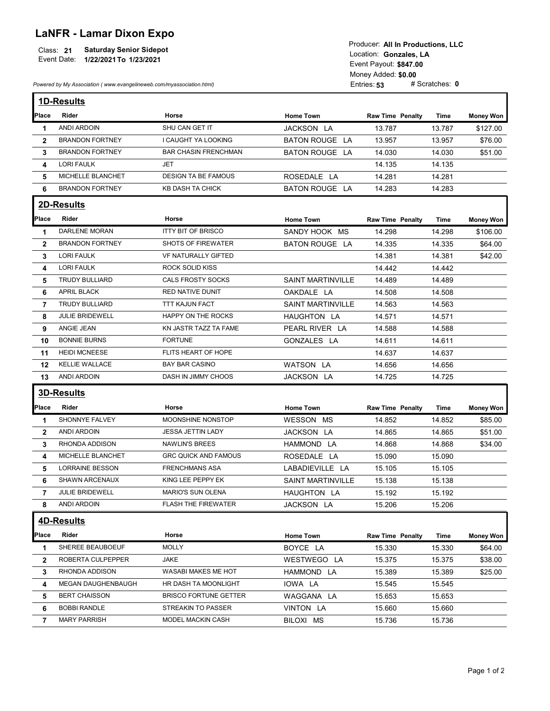## LaNFR - Lamar Dixon Expo

| <b>Saturday Senior Sidepot</b><br>Class: 21<br>Event Date:<br>1/22/2021 To 1/23/2021 | Producer: All In Productions, LLC<br>Location: Gonzales. LA<br>Event Payout: \$847.00 |
|--------------------------------------------------------------------------------------|---------------------------------------------------------------------------------------|
|                                                                                      | Money Added: \$0.00                                                                   |
| Powered by My Association (www.evangelineweb.com/myassociation.html)                 | # Scratches: $\boldsymbol{0}$<br>Entries: $53$                                        |

|                | <b>Saturday Senior Sidepot</b><br>Class: 21<br>Event Date:<br>1/22/2021 To 1/23/2021<br>Powered by My Association (www.evangelineweb.com/myassociation.html) |                                                    |                          | Producer: All In Productions, LLC<br>Location: Gonzales, LA<br>Event Payout: \$847.00<br>Money Added: \$0.00<br>Entries: 53 | # Scratches: 0 |                  |
|----------------|--------------------------------------------------------------------------------------------------------------------------------------------------------------|----------------------------------------------------|--------------------------|-----------------------------------------------------------------------------------------------------------------------------|----------------|------------------|
|                |                                                                                                                                                              |                                                    |                          |                                                                                                                             |                |                  |
|                | 1D-Results                                                                                                                                                   |                                                    |                          |                                                                                                                             |                |                  |
| Place          | Rider                                                                                                                                                        | Horse                                              | <b>Home Town</b>         | <b>Raw Time Penalty</b>                                                                                                     | Time           | <b>Money Won</b> |
| $\mathbf 1$    | <b>ANDI ARDOIN</b>                                                                                                                                           | SHU CAN GET IT                                     | JACKSON LA               | 13.787                                                                                                                      | 13.787         | \$127.00         |
| $\overline{2}$ | <b>BRANDON FORTNEY</b>                                                                                                                                       | I CAUGHT YA LOOKING                                | <b>BATON ROUGE LA</b>    | 13.957                                                                                                                      | 13.957         | \$76.00          |
| 3              | <b>BRANDON FORTNEY</b>                                                                                                                                       | <b>BAR CHASIN FRENCHMAN</b>                        | <b>BATON ROUGE LA</b>    | 14.030                                                                                                                      | 14.030         | \$51.00          |
| 4              | <b>LORI FAULK</b>                                                                                                                                            | <b>JET</b>                                         |                          | 14.135                                                                                                                      | 14.135         |                  |
| 5              | MICHELLE BLANCHET                                                                                                                                            | <b>DESIGN TA BE FAMOUS</b>                         | ROSEDALE LA              | 14.281                                                                                                                      | 14.281         |                  |
| 6              | <b>BRANDON FORTNEY</b>                                                                                                                                       | KB DASH TA CHICK                                   | <b>BATON ROUGE LA</b>    | 14.283                                                                                                                      | 14.283         |                  |
|                | 2D-Results                                                                                                                                                   |                                                    |                          |                                                                                                                             |                |                  |
| <b>Place</b>   | Rider                                                                                                                                                        | Horse                                              | <b>Home Town</b>         | <b>Raw Time Penalty</b>                                                                                                     | Time           | <b>Money Won</b> |
| -1             | DARLENE MORAN                                                                                                                                                | <b>ITTY BIT OF BRISCO</b>                          | SANDY HOOK MS            | 14.298                                                                                                                      | 14.298         | \$106.00         |
|                | <b>BRANDON FORTNEY</b>                                                                                                                                       | <b>SHOTS OF FIREWATER</b>                          | <b>BATON ROUGE LA</b>    | 14.335                                                                                                                      | 14.335         | \$64.00          |
| $\mathbf{2}$   | <b>LORI FAULK</b>                                                                                                                                            | VF NATURALLY GIFTED                                |                          |                                                                                                                             |                |                  |
| 3              |                                                                                                                                                              |                                                    |                          | 14.381                                                                                                                      | 14.381         | \$42.00          |
| 4              | <b>LORI FAULK</b>                                                                                                                                            | <b>ROCK SOLID KISS</b><br><b>CALS FROSTY SOCKS</b> |                          | 14.442                                                                                                                      | 14.442         |                  |
| 5              | <b>TRUDY BULLIARD</b>                                                                                                                                        |                                                    | <b>SAINT MARTINVILLE</b> | 14.489                                                                                                                      | 14.489         |                  |
| 6              | APRIL BLACK<br><b>TRUDY BULLIARD</b>                                                                                                                         | RED NATIVE DUNIT                                   | OAKDALE LA               | 14.508                                                                                                                      | 14.508         |                  |
| 7              |                                                                                                                                                              | <b>TTT KAJUN FACT</b>                              | <b>SAINT MARTINVILLE</b> | 14.563                                                                                                                      | 14.563         |                  |
| 8              | JULIE BRIDEWELL                                                                                                                                              | HAPPY ON THE ROCKS                                 | HAUGHTON LA              | 14.571                                                                                                                      | 14.571         |                  |
| 9              | ANGIE JEAN                                                                                                                                                   | KN JASTR TAZZ TA FAME<br><b>FORTUNE</b>            | PEARL RIVER LA           | 14.588                                                                                                                      | 14.588         |                  |
| 10             | <b>BONNIE BURNS</b>                                                                                                                                          |                                                    | GONZALES LA              | 14.611                                                                                                                      | 14.611         |                  |
| 11             | <b>HEIDI MCNEESE</b>                                                                                                                                         | FLITS HEART OF HOPE                                |                          | 14.637                                                                                                                      | 14.637         |                  |
| 12             | <b>KELLIE WALLACE</b>                                                                                                                                        | <b>BAY BAR CASINO</b>                              | <b>WATSON LA</b>         | 14.656                                                                                                                      | 14.656         |                  |
| 13             | ANDI ARDOIN                                                                                                                                                  | DASH IN JIMMY CHOOS                                | JACKSON LA               | 14.725                                                                                                                      | 14.725         |                  |
|                | 3D-Results                                                                                                                                                   |                                                    |                          |                                                                                                                             |                |                  |
| Place          | Rider                                                                                                                                                        | Horse                                              | <b>Home Town</b>         | <b>Raw Time Penalty</b>                                                                                                     | Time           | <b>Money Won</b> |
| -1             | SHONNYE FALVEY                                                                                                                                               | MOONSHINE NONSTOP                                  | WESSON MS                | 14.852                                                                                                                      | 14.852         | \$85.00          |
| $\mathbf{2}$   | ANDI ARDOIN                                                                                                                                                  | JESSA JETTIN LADY                                  | JACKSON LA               | 14.865                                                                                                                      | 14.865         | \$51.00          |
| 3              | RHONDA ADDISON                                                                                                                                               | NAWLIN'S BREES                                     | HAMMOND LA               | 14.868                                                                                                                      | 14.868         | \$34.00          |
| 4              | MICHELLE BLANCHET                                                                                                                                            | <b>GRC QUICK AND FAMOUS</b>                        | ROSEDALE LA              | 15.090                                                                                                                      | 15.090         |                  |
| 5              | <b>LORRAINE BESSON</b>                                                                                                                                       | <b>FRENCHMANS ASA</b>                              | LABADIEVILLE LA          | 15.105                                                                                                                      | 15.105         |                  |
| 6              | SHAWN ARCENAUX                                                                                                                                               | KING LEE PEPPY EK                                  | <b>SAINT MARTINVILLE</b> | 15.138                                                                                                                      | 15.138         |                  |
| $\overline{7}$ | JULIE BRIDEWELL                                                                                                                                              | MARIO'S SUN OLENA                                  | HAUGHTON LA              | 15.192                                                                                                                      | 15.192         |                  |
| 8              | ANDI ARDOIN                                                                                                                                                  | <b>FLASH THE FIREWATER</b>                         | JACKSON LA               | 15.206                                                                                                                      | 15.206         |                  |
|                | 4D-Results                                                                                                                                                   |                                                    |                          |                                                                                                                             |                |                  |
|                |                                                                                                                                                              |                                                    |                          |                                                                                                                             |                |                  |
| Place          | Rider                                                                                                                                                        | Horse                                              | <b>Home Town</b>         | <b>Raw Time Penalty</b>                                                                                                     | Time           | <b>Money Won</b> |
| $\mathbf 1$    | SHEREE BEAUBOEUF                                                                                                                                             | <b>MOLLY</b>                                       | BOYCE LA                 | 15.330                                                                                                                      | 15.330         | \$64.00          |
| $\mathbf{2}$   | ROBERTA CULPEPPER                                                                                                                                            | <b>JAKE</b>                                        | WESTWEGO LA              | 15.375                                                                                                                      | 15.375         | \$38.00          |
| 3              | RHONDA ADDISON                                                                                                                                               | WASABI MAKES ME HOT                                | HAMMOND LA               | 15.389                                                                                                                      | 15.389         | \$25.00          |
| 4              | MEGAN DAUGHENBAUGH                                                                                                                                           | HR DASH TA MOONLIGHT                               | IOWA LA                  | 15.545                                                                                                                      | 15.545         |                  |
| 5              | <b>BERT CHAISSON</b>                                                                                                                                         | <b>BRISCO FORTUNE GETTER</b>                       | WAGGANA LA               | 15.653                                                                                                                      | 15.653         |                  |
| 6              | <b>BOBBI RANDLE</b>                                                                                                                                          | STREAKIN TO PASSER                                 | VINTON LA                | 15.660                                                                                                                      | 15.660         |                  |
| $\overline{7}$ | <b>MARY PARRISH</b>                                                                                                                                          | MODEL MACKIN CASH                                  | BILOXI MS                | 15.736                                                                                                                      | 15.736         |                  |